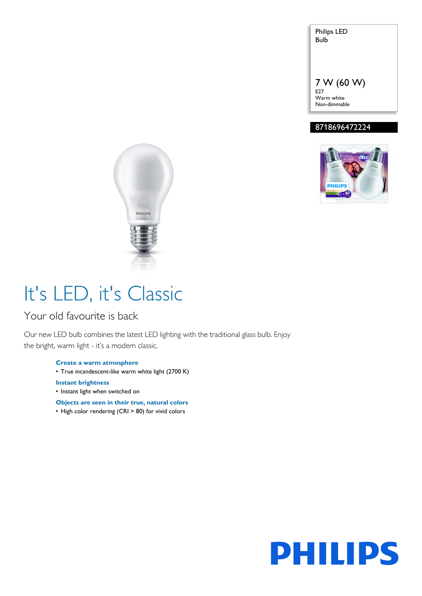Philips LED Bulb

7 W (60 W) E27 Warm white Non-dimmable

### 8718696472224





# It's LED, it's Classic

### Your old favourite is back

Our new LED bulb combines the latest LED lighting with the traditional glass bulb. Enjoy the bright, warm light - it's a modern classic.

> **Create a warm atmosphere** • True incandescent-like warm white light (2700 K) **Instant brightness**

• Instant light when switched on

**Objects are seen in their true, natural colors**

• High color rendering (CRI > 80) for vivid colors